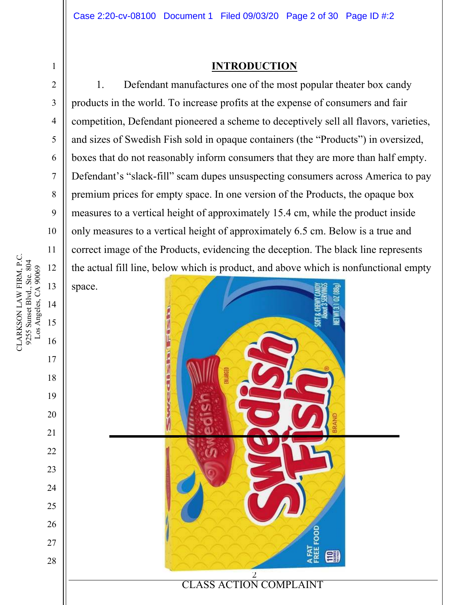### **INTRODUCTION**

1. Defendant manufactures one of the most popular theater box candy products in the world. To increase profits at the expense of consumers and fair competition, Defendant pioneered a scheme to deceptively sell all flavors, varieties, and sizes of Swedish Fish sold in opaque containers (the "Products") in oversized, boxes that do not reasonably inform consumers that they are more than half empty. Defendant's "slack-fill" scam dupes unsuspecting consumers across America to pay premium prices for empty space. In one version of the Products, the opaque box measures to a vertical height of approximately 15.4 cm, while the product inside only measures to a vertical height of approximately 6.5 cm. Below is a true and correct image of the Products, evidencing the deception. The black line represents the actual fill line, below which is product, and above which is nonfunctional empty





CLARKSON LAW FIRM, P.C. CLARKSON LAW FIRM, P.C. 9255 Sunset Blvd., Ste. 804 9255 Sunset Blvd., Ste. 804 12 Los Angeles, CA 90069 Los Angeles, CA 90069 13 14 15 16

1

2

3

4

5

6

7

8

9

10

11

17

18

19

20

21

22

23

24

25

26

27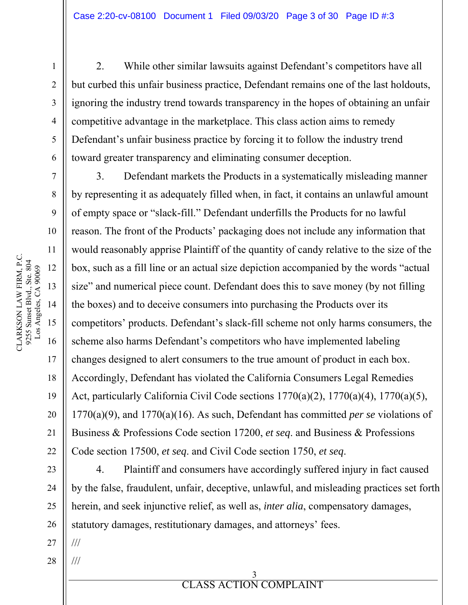2. While other similar lawsuits against Defendant's competitors have all but curbed this unfair business practice, Defendant remains one of the last holdouts, ignoring the industry trend towards transparency in the hopes of obtaining an unfair competitive advantage in the marketplace. This class action aims to remedy Defendant's unfair business practice by forcing it to follow the industry trend toward greater transparency and eliminating consumer deception.

3. Defendant markets the Products in a systematically misleading manner by representing it as adequately filled when, in fact, it contains an unlawful amount of empty space or "slack-fill." Defendant underfills the Products for no lawful reason. The front of the Products' packaging does not include any information that would reasonably apprise Plaintiff of the quantity of candy relative to the size of the box, such as a fill line or an actual size depiction accompanied by the words "actual size" and numerical piece count. Defendant does this to save money (by not filling the boxes) and to deceive consumers into purchasing the Products over its competitors' products. Defendant's slack-fill scheme not only harms consumers, the scheme also harms Defendant's competitors who have implemented labeling changes designed to alert consumers to the true amount of product in each box. Accordingly, Defendant has violated the California Consumers Legal Remedies Act, particularly California Civil Code sections 1770(a)(2), 1770(a)(4), 1770(a)(5), 1770(a)(9), and 1770(a)(16). As such, Defendant has committed *per se* violations of Business & Professions Code section 17200, *et seq*. and Business & Professions Code section 17500, *et seq*. and Civil Code section 1750, *et seq*.

4. Plaintiff and consumers have accordingly suffered injury in fact caused by the false, fraudulent, unfair, deceptive, unlawful, and misleading practices set forth herein, and seek injunctive relief, as well as, *inter alia*, compensatory damages, statutory damages, restitutionary damages, and attorneys' fees.

27 ///

///

28

CLARKSON LAW FIRM, P.C. CLARKSON LAW FIRM, P.C. 9255 Sunset Blvd., Ste. 804 9255 Sunset Blvd., Ste. 804<br>Los Angeles, CA 90069 12 Los Angeles, CA 90069 13 14 15 16

1

2

3

4

5

6

7

8

9

10

11

17

18

19

20

21

22

23

24

25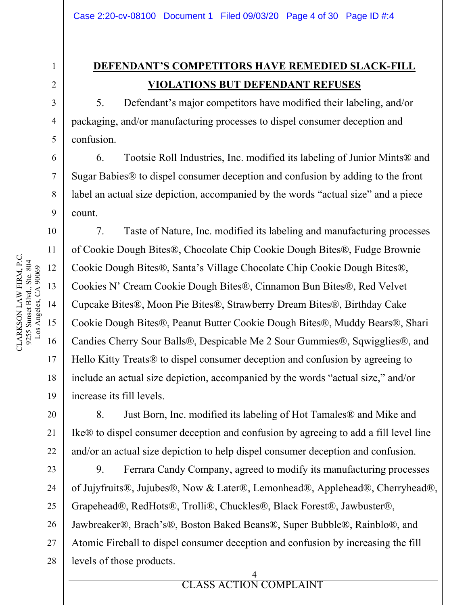### **DEFENDANT'S COMPETITORS HAVE REMEDIED SLACK-FILL VIOLATIONS BUT DEFENDANT REFUSES**

5. Defendant's major competitors have modified their labeling, and/or packaging, and/or manufacturing processes to dispel consumer deception and confusion.

6. Tootsie Roll Industries, Inc. modified its labeling of Junior Mints® and Sugar Babies® to dispel consumer deception and confusion by adding to the front label an actual size depiction, accompanied by the words "actual size" and a piece count.

7. Taste of Nature, Inc. modified its labeling and manufacturing processes of Cookie Dough Bites®, Chocolate Chip Cookie Dough Bites®, Fudge Brownie Cookie Dough Bites®, Santa's Village Chocolate Chip Cookie Dough Bites®, Cookies N' Cream Cookie Dough Bites®, Cinnamon Bun Bites®, Red Velvet Cupcake Bites®, Moon Pie Bites®, Strawberry Dream Bites®, Birthday Cake Cookie Dough Bites®, Peanut Butter Cookie Dough Bites®, Muddy Bears®, Shari Candies Cherry Sour Balls®, Despicable Me 2 Sour Gummies®, Sqwigglies®, and Hello Kitty Treats® to dispel consumer deception and confusion by agreeing to include an actual size depiction, accompanied by the words "actual size," and/or increase its fill levels.

8. Just Born, Inc. modified its labeling of Hot Tamales® and Mike and Ike® to dispel consumer deception and confusion by agreeing to add a fill level line and/or an actual size depiction to help dispel consumer deception and confusion.

9. Ferrara Candy Company, agreed to modify its manufacturing processes of Jujyfruits®, Jujubes®, Now & Later®, Lemonhead®, Applehead®, Cherryhead®, Grapehead®, RedHots®, Trolli®, Chuckles®, Black Forest®, Jawbuster®, Jawbreaker®, Brach's®, Boston Baked Beans®, Super Bubble®, Rainblo®, and Atomic Fireball to dispel consumer deception and confusion by increasing the fill levels of those products.

> 4 CLASS ACTION COMPLAINT

**ELASS ACTION** 

1

2

3

4

5

6

7

8

9

10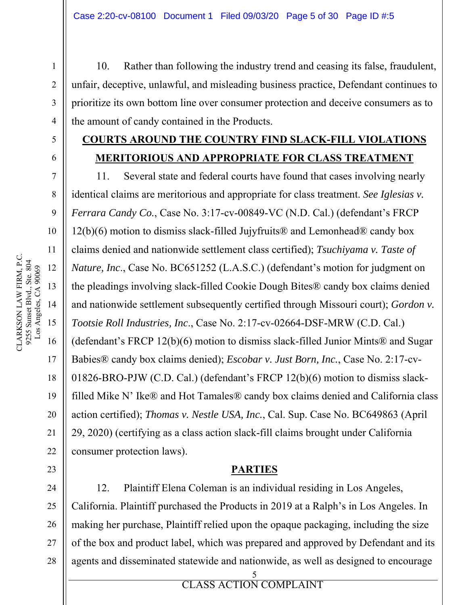10. Rather than following the industry trend and ceasing its false, fraudulent, unfair, deceptive, unlawful, and misleading business practice, Defendant continues to prioritize its own bottom line over consumer protection and deceive consumers as to the amount of candy contained in the Products.

### **COURTS AROUND THE COUNTRY FIND SLACK-FILL VIOLATIONS MERITORIOUS AND APPROPRIATE FOR CLASS TREATMENT**

11. Several state and federal courts have found that cases involving nearly identical claims are meritorious and appropriate for class treatment. *See Iglesias v. Ferrara Candy Co.*, Case No. 3:17-cv-00849-VC (N.D. Cal.) (defendant's FRCP 12(b)(6) motion to dismiss slack-filled Jujyfruits® and Lemonhead® candy box claims denied and nationwide settlement class certified); *Tsuchiyama v. Taste of Nature, Inc*., Case No. BC651252 (L.A.S.C.) (defendant's motion for judgment on the pleadings involving slack-filled Cookie Dough Bites® candy box claims denied and nationwide settlement subsequently certified through Missouri court); *Gordon v. Tootsie Roll Industries, Inc*., Case No. 2:17-cv-02664-DSF-MRW (C.D. Cal.) (defendant's FRCP 12(b)(6) motion to dismiss slack-filled Junior Mints® and Sugar Babies® candy box claims denied); *Escobar v. Just Born, Inc.*, Case No. 2:17-cv-01826-BRO-PJW (C.D. Cal.) (defendant's FRCP 12(b)(6) motion to dismiss slackfilled Mike N' Ike® and Hot Tamales® candy box claims denied and California class action certified); *Thomas v. Nestle USA, Inc.*, Cal. Sup. Case No. BC649863 (April 29, 2020) (certifying as a class action slack-fill claims brought under California consumer protection laws).

### **PARTIES**

12. Plaintiff Elena Coleman is an individual residing in Los Angeles, California. Plaintiff purchased the Products in 2019 at a Ralph's in Los Angeles. In making her purchase, Plaintiff relied upon the opaque packaging, including the size of the box and product label, which was prepared and approved by Defendant and its agents and disseminated statewide and nationwide, as well as designed to encourage

1

2

3

4

5

6

7

8

9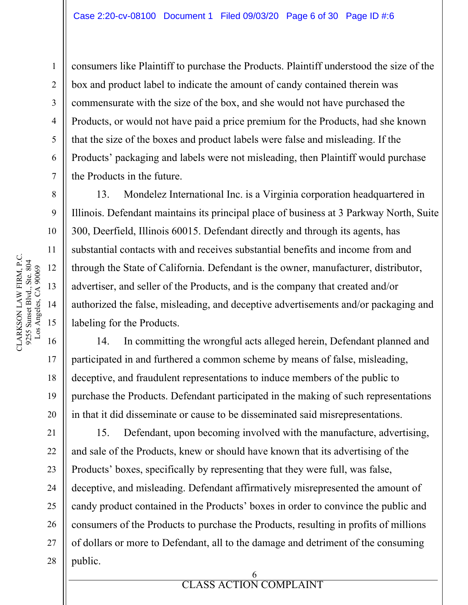consumers like Plaintiff to purchase the Products. Plaintiff understood the size of the box and product label to indicate the amount of candy contained therein was commensurate with the size of the box, and she would not have purchased the Products, or would not have paid a price premium for the Products, had she known that the size of the boxes and product labels were false and misleading. If the Products' packaging and labels were not misleading, then Plaintiff would purchase the Products in the future.

13. Mondelez International Inc. is a Virginia corporation headquartered in Illinois. Defendant maintains its principal place of business at 3 Parkway North, Suite 300, Deerfield, Illinois 60015. Defendant directly and through its agents, has substantial contacts with and receives substantial benefits and income from and through the State of California. Defendant is the owner, manufacturer, distributor, advertiser, and seller of the Products, and is the company that created and/or authorized the false, misleading, and deceptive advertisements and/or packaging and labeling for the Products.

14. In committing the wrongful acts alleged herein, Defendant planned and participated in and furthered a common scheme by means of false, misleading, deceptive, and fraudulent representations to induce members of the public to purchase the Products. Defendant participated in the making of such representations in that it did disseminate or cause to be disseminated said misrepresentations.

15. Defendant, upon becoming involved with the manufacture, advertising, and sale of the Products, knew or should have known that its advertising of the Products' boxes, specifically by representing that they were full, was false, deceptive, and misleading. Defendant affirmatively misrepresented the amount of candy product contained in the Products' boxes in order to convince the public and consumers of the Products to purchase the Products, resulting in profits of millions of dollars or more to Defendant, all to the damage and detriment of the consuming public.

> 6 CLASS ACTION COMPLAINT

ERROR **CLASS** ACTION

1

2

3

4

5

6

7

8

9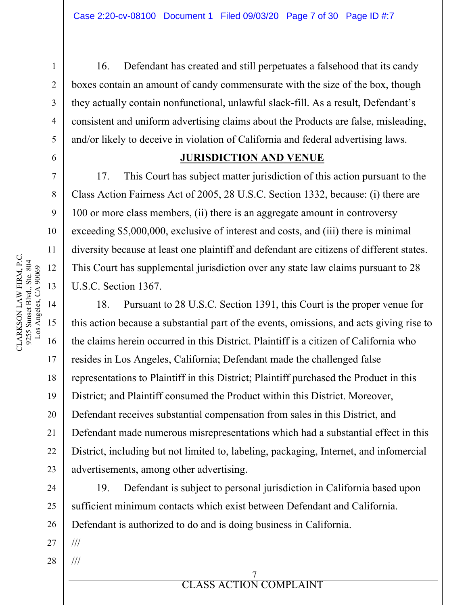16. Defendant has created and still perpetuates a falsehood that its candy boxes contain an amount of candy commensurate with the size of the box, though they actually contain nonfunctional, unlawful slack-fill. As a result, Defendant's consistent and uniform advertising claims about the Products are false, misleading, and/or likely to deceive in violation of California and federal advertising laws.

### **JURISDICTION AND VENUE**

17. This Court has subject matter jurisdiction of this action pursuant to the Class Action Fairness Act of 2005, 28 U.S.C. Section 1332, because: (i) there are 100 or more class members, (ii) there is an aggregate amount in controversy exceeding \$5,000,000, exclusive of interest and costs, and (iii) there is minimal diversity because at least one plaintiff and defendant are citizens of different states. This Court has supplemental jurisdiction over any state law claims pursuant to 28 U.S.C. Section 1367.

18. Pursuant to 28 U.S.C. Section 1391, this Court is the proper venue for this action because a substantial part of the events, omissions, and acts giving rise to the claims herein occurred in this District. Plaintiff is a citizen of California who resides in Los Angeles, California; Defendant made the challenged false representations to Plaintiff in this District; Plaintiff purchased the Product in this District; and Plaintiff consumed the Product within this District. Moreover, Defendant receives substantial compensation from sales in this District, and Defendant made numerous misrepresentations which had a substantial effect in this District, including but not limited to, labeling, packaging, Internet, and infomercial advertisements, among other advertising.

19. Defendant is subject to personal jurisdiction in California based upon sufficient minimum contacts which exist between Defendant and California. Defendant is authorized to do and is doing business in California.

27 ///

///

28

20

21

22

23

24

25

26

1

2

3

4

5

6

7

8

9

10

11

12

13

14

CLARKSON LAW FIRM, P.C.

CLARKSON LAW FIRM, P.C.

15

**ELASS ACTION** 7 CLASS ACTION COMPLAINT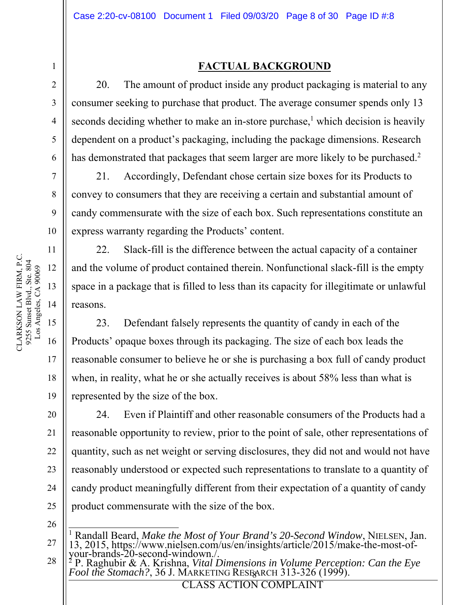### **FACTUAL BACKGROUND**

20. The amount of product inside any product packaging is material to any consumer seeking to purchase that product. The average consumer spends only 13 seconds deciding whether to make an in-store purchase, $<sup>1</sup>$  which decision is heavily</sup> dependent on a product's packaging, including the package dimensions. Research has demonstrated that packages that seem larger are more likely to be purchased.<sup>2</sup>

21. Accordingly, Defendant chose certain size boxes for its Products to convey to consumers that they are receiving a certain and substantial amount of candy commensurate with the size of each box. Such representations constitute an express warranty regarding the Products' content.

22. Slack-fill is the difference between the actual capacity of a container and the volume of product contained therein. Nonfunctional slack-fill is the empty space in a package that is filled to less than its capacity for illegitimate or unlawful reasons.

23. Defendant falsely represents the quantity of candy in each of the Products' opaque boxes through its packaging. The size of each box leads the reasonable consumer to believe he or she is purchasing a box full of candy product when, in reality, what he or she actually receives is about 58% less than what is represented by the size of the box.

24. Even if Plaintiff and other reasonable consumers of the Products had a reasonable opportunity to review, prior to the point of sale, other representations of quantity, such as net weight or serving disclosures, they did not and would not have reasonably understood or expected such representations to translate to a quantity of candy product meaningfully different from their expectation of a quantity of candy product commensurate with the size of the box.

26

27

**EXECUTE AND COMPLAINT** 

CLARKSON LAW FIRM, P.C. CLARKSON LAW FIRM, P.C. 9255 Sunset Blvd., Ste. 804 9255 Sunset Blvd., Ste. 804<br>Los Angeles, CA 90069 Los Angeles, CA 90069 12 13 14 15 16

1

2

3

4

5

6

7

8

9

10

11

17

18

19

20

21

22

23

24

<sup>&</sup>lt;sup>1</sup> Randall Beard, *Make the Most of Your Brand's 20-Second Window*, NIELSEN, Jan. 13, 2015, https://www.nielsen.com/us/en/insights/article/2015/make-the-most-ofyour-brands-20-second-windown./.

<sup>28</sup> Fool the Stomach?, 36 J. MARKETING RESEARCH 313-326 (1999). 2 P. Raghubir & A. Krishna, *Vital Dimensions in Volume Perception: Can the Eye Fool the Stomach?*, 36 J. MARKETING RESEARCH 313-326 (1999).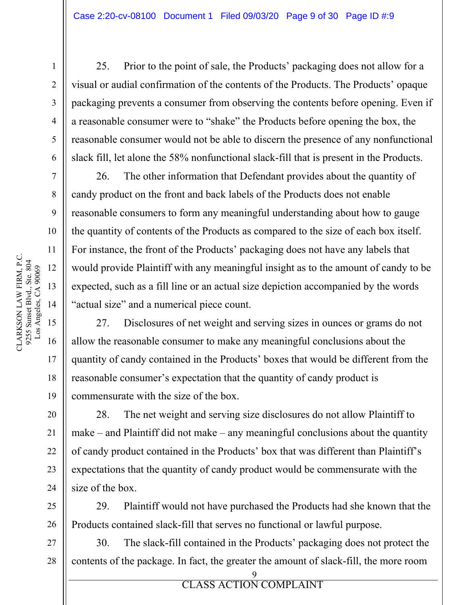25. Prior to the point of sale, the Products' packaging does not allow for a visual or audial confirmation of the contents of the Products. The Products' opaque packaging prevents a consumer from observing the contents before opening. Even if a reasonable consumer were to "shake" the Products before opening the box, the reasonable consumer would not be able to discern the presence of any nonfunctional slack fill, let alone the 58% nonfunctional slack-fill that is present in the Products.

26. The other information that Defendant provides about the quantity of candy product on the front and back labels of the Products does not enable reasonable consumers to form any meaningful understanding about how to gauge the quantity of contents of the Products as compared to the size of each box itself. For instance, the front of the Products' packaging does not have any labels that would provide Plaintiff with any meaningful insight as to the amount of candy to be expected, such as a fill line or an actual size depiction accompanied by the words "actual size" and a numerical piece count.

27. Disclosures of net weight and serving sizes in ounces or grams do not allow the reasonable consumer to make any meaningful conclusions about the quantity of candy contained in the Products' boxes that would be different from the reasonable consumer's expectation that the quantity of candy product is commensurate with the size of the box.

28. The net weight and serving size disclosures do not allow Plaintiff to make – and Plaintiff did not make – any meaningful conclusions about the quantity of candy product contained in the Products' box that was different than Plaintiff's expectations that the quantity of candy product would be commensurate with the size of the box.

29. Plaintiff would not have purchased the Products had she known that the Products contained slack-fill that serves no functional or lawful purpose.

30. The slack-fill contained in the Products' packaging does not protect the contents of the package. In fact, the greater the amount of slack-fill, the more room

9

**EXECUTE AND COMPLAINT** 

1

2

3

4

5

6

7

8

9

10

11

17

18

19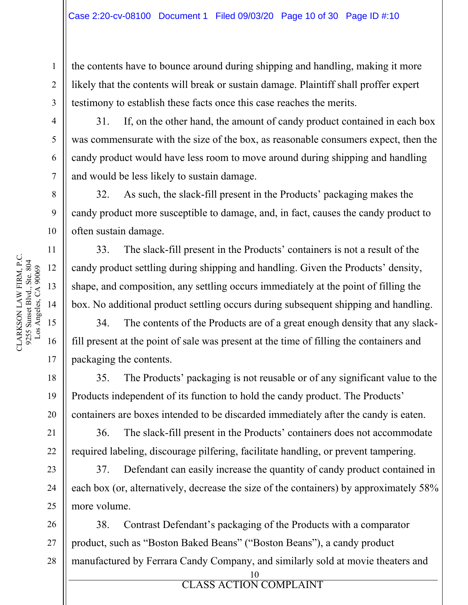the contents have to bounce around during shipping and handling, making it more likely that the contents will break or sustain damage. Plaintiff shall proffer expert testimony to establish these facts once this case reaches the merits.

11

17

18

19

20

21

22

23

24

25

1

2

3

31. If, on the other hand, the amount of candy product contained in each box was commensurate with the size of the box, as reasonable consumers expect, then the candy product would have less room to move around during shipping and handling and would be less likely to sustain damage.

32. As such, the slack-fill present in the Products' packaging makes the candy product more susceptible to damage, and, in fact, causes the candy product to often sustain damage.

33. The slack-fill present in the Products' containers is not a result of the candy product settling during shipping and handling. Given the Products' density, shape, and composition, any settling occurs immediately at the point of filling the box. No additional product settling occurs during subsequent shipping and handling.

34. The contents of the Products are of a great enough density that any slackfill present at the point of sale was present at the time of filling the containers and packaging the contents.

35. The Products' packaging is not reusable or of any significant value to the Products independent of its function to hold the candy product. The Products' containers are boxes intended to be discarded immediately after the candy is eaten.

36. The slack-fill present in the Products' containers does not accommodate required labeling, discourage pilfering, facilitate handling, or prevent tampering.

37. Defendant can easily increase the quantity of candy product contained in each box (or, alternatively, decrease the size of the containers) by approximately 58% more volume.

26 27 28 38. Contrast Defendant's packaging of the Products with a comparator product, such as "Boston Baked Beans" ("Boston Beans"), a candy product manufactured by Ferrara Candy Company, and similarly sold at movie theaters and

ERROR **ELASS** ACTION 10 CLASS ACTION COMPLAINT

CLARKSON LAW FIRM, P.C. CLARKSON LAW FIRM, P.C.<br>9255 Sunset Blvd., Ste. 804 9255 Sunset Blvd., Ste. 804 Los Angeles, CA 90069 Los Angeles, CA 90069 12 13 14 15 16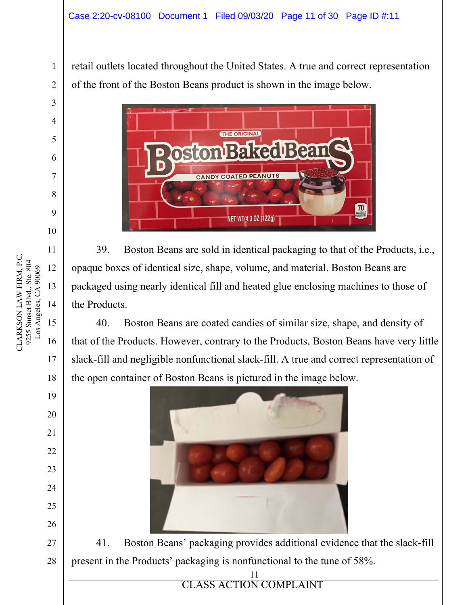retail outlets located throughout the United States. A true and correct representation of the front of the Boston Beans product is shown in the image below.



39. Boston Beans are sold in identical packaging to that of the Products, i.e., opaque boxes of identical size, shape, volume, and material. Boston Beans are packaged using nearly identical fill and heated glue enclosing machines to those of the Products.

40. Boston Beans are coated candies of similar size, shape, and density of that of the Products. However, contrary to the Products, Boston Beans have very little slack-fill and negligible nonfunctional slack-fill. A true and correct representation of the open container of Boston Beans is pictured in the image below.



41. Boston Beans' packaging provides additional evidence that the slack-fill present in the Products' packaging is nonfunctional to the tune of 58%.

11

**EXPLORE ACTION COMPLAINT** 

10

11

13

16

17

18

19

20

21

22

23

24

25

26

27

28

1

CLARKSON LAW FIRM, P.C. CLARKSON LAW FIRM, P.C. 9255 Sunset Blvd., Ste. 804 9255 Sunset Blvd., Ste. 804 Los Angeles, CA 90069 Los Angeles, CA 90069 12 14 15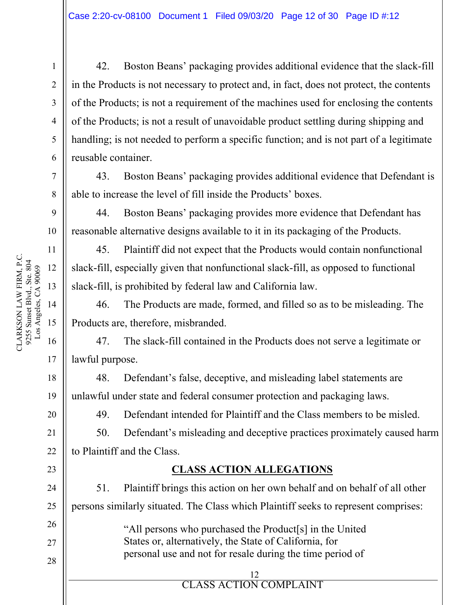42. Boston Beans' packaging provides additional evidence that the slack-fill in the Products is not necessary to protect and, in fact, does not protect, the contents of the Products; is not a requirement of the machines used for enclosing the contents of the Products; is not a result of unavoidable product settling during shipping and handling; is not needed to perform a specific function; and is not part of a legitimate reusable container.

43. Boston Beans' packaging provides additional evidence that Defendant is able to increase the level of fill inside the Products' boxes.

44. Boston Beans' packaging provides more evidence that Defendant has reasonable alternative designs available to it in its packaging of the Products.

45. Plaintiff did not expect that the Products would contain nonfunctional slack-fill, especially given that nonfunctional slack-fill, as opposed to functional slack-fill, is prohibited by federal law and California law.

46. The Products are made, formed, and filled so as to be misleading. The Products are, therefore, misbranded.

47. The slack-fill contained in the Products does not serve a legitimate or lawful purpose.

48. Defendant's false, deceptive, and misleading label statements are unlawful under state and federal consumer protection and packaging laws.

49. Defendant intended for Plaintiff and the Class members to be misled.

50. Defendant's misleading and deceptive practices proximately caused harm to Plaintiff and the Class.

### **CLASS ACTION ALLEGATIONS**

51. Plaintiff brings this action on her own behalf and on behalf of all other persons similarly situated. The Class which Plaintiff seeks to represent comprises:

> "All persons who purchased the Product[s] in the United States or, alternatively, the State of California, for personal use and not for resale during the time period of

#### ERROR **ELASS** ACTION 12 CLASS ACTION COMPLAINT

1

2

3

4

5

6

7

8

9

10

11

17

18

19

20

21

22

23

24

25

26

27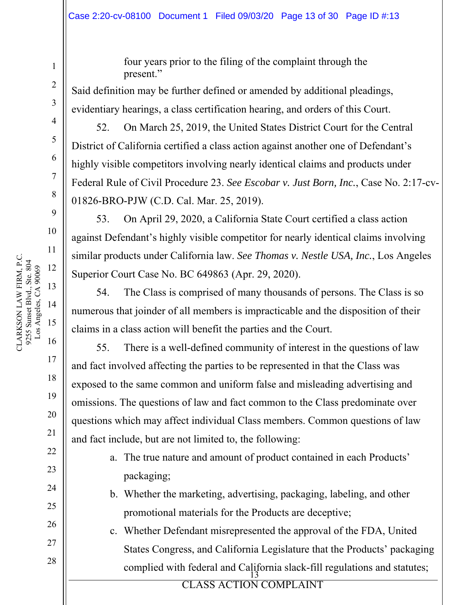four years prior to the filing of the complaint through the present."

Said definition may be further defined or amended by additional pleadings, evidentiary hearings, a class certification hearing, and orders of this Court.

52. On March 25, 2019, the United States District Court for the Central District of California certified a class action against another one of Defendant's highly visible competitors involving nearly identical claims and products under Federal Rule of Civil Procedure 23. *See Escobar v. Just Born, Inc.*, Case No. 2:17-cv-01826-BRO-PJW (C.D. Cal. Mar. 25, 2019).

53. On April 29, 2020, a California State Court certified a class action against Defendant's highly visible competitor for nearly identical claims involving similar products under California law. *See Thomas v. Nestle USA, Inc.*, Los Angeles Superior Court Case No. BC 649863 (Apr. 29, 2020).

54. The Class is comprised of many thousands of persons. The Class is so numerous that joinder of all members is impracticable and the disposition of their claims in a class action will benefit the parties and the Court.

55. There is a well-defined community of interest in the questions of law and fact involved affecting the parties to be represented in that the Class was exposed to the same common and uniform false and misleading advertising and omissions. The questions of law and fact common to the Class predominate over questions which may affect individual Class members. Common questions of law and fact include, but are not limited to, the following:

- a. The true nature and amount of product contained in each Products' packaging;
- b. Whether the marketing, advertising, packaging, labeling, and other promotional materials for the Products are deceptive;
- $\overline{13}$ c. Whether Defendant misrepresented the approval of the FDA, United States Congress, and California Legislature that the Products' packaging complied with federal and California slack-fill regulations and statutes;

**EXPLORE ACTION COMPLAINT** 

1

2

3

4

5

6

7

8

9

10

17

18

19

20

21

22

23

24

25

26

27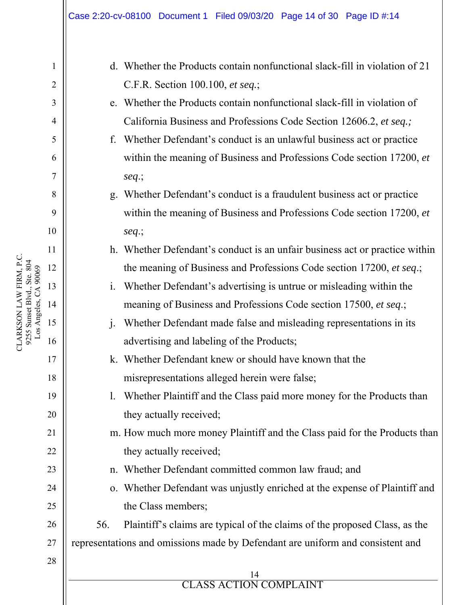1 2 3 4 5 6 7 8 9 10 11 12 13 14 15 16 17 18 19 20 21 22 23 24 25 26 27 28 ERROR **ELASS** ACTION 14 CLASS ACTION COMPLAINT d. Whether the Products contain nonfunctional slack-fill in violation of 21 C.F.R. Section 100.100, *et seq.*; e. Whether the Products contain nonfunctional slack-fill in violation of California Business and Professions Code Section 12606.2, *et seq.;* f. Whether Defendant's conduct is an unlawful business act or practice within the meaning of Business and Professions Code section 17200, *et seq*.; g. Whether Defendant's conduct is a fraudulent business act or practice within the meaning of Business and Professions Code section 17200, *et seq*.; h. Whether Defendant's conduct is an unfair business act or practice within the meaning of Business and Professions Code section 17200, *et seq*.; i. Whether Defendant's advertising is untrue or misleading within the meaning of Business and Professions Code section 17500, *et seq*.; j. Whether Defendant made false and misleading representations in its advertising and labeling of the Products; k. Whether Defendant knew or should have known that the misrepresentations alleged herein were false; l. Whether Plaintiff and the Class paid more money for the Products than they actually received; m. How much more money Plaintiff and the Class paid for the Products than they actually received; n. Whether Defendant committed common law fraud; and o. Whether Defendant was unjustly enriched at the expense of Plaintiff and the Class members; 56. Plaintiff's claims are typical of the claims of the proposed Class, as the representations and omissions made by Defendant are uniform and consistent and

CLARKSON LAW FIRM, P.C. 9255 Sunset Blvd., Ste. 804 Los Angeles, CA 90069

CLARKSON LAW FIRM, P.C. 9255 Sunset Blvd., Ste. 804<br>Los Angeles, CA 90069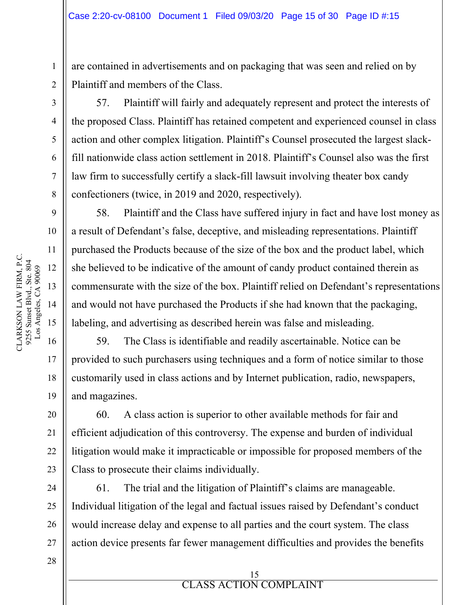are contained in advertisements and on packaging that was seen and relied on by Plaintiff and members of the Class.

57. Plaintiff will fairly and adequately represent and protect the interests of the proposed Class. Plaintiff has retained competent and experienced counsel in class action and other complex litigation. Plaintiff's Counsel prosecuted the largest slackfill nationwide class action settlement in 2018. Plaintiff's Counsel also was the first law firm to successfully certify a slack-fill lawsuit involving theater box candy confectioners (twice, in 2019 and 2020, respectively).

58. Plaintiff and the Class have suffered injury in fact and have lost money as a result of Defendant's false, deceptive, and misleading representations. Plaintiff purchased the Products because of the size of the box and the product label, which she believed to be indicative of the amount of candy product contained therein as commensurate with the size of the box. Plaintiff relied on Defendant's representations and would not have purchased the Products if she had known that the packaging, labeling, and advertising as described herein was false and misleading.

59. The Class is identifiable and readily ascertainable. Notice can be provided to such purchasers using techniques and a form of notice similar to those customarily used in class actions and by Internet publication, radio, newspapers, and magazines.

60. A class action is superior to other available methods for fair and efficient adjudication of this controversy. The expense and burden of individual litigation would make it impracticable or impossible for proposed members of the Class to prosecute their claims individually.

61. The trial and the litigation of Plaintiff's claims are manageable. Individual litigation of the legal and factual issues raised by Defendant's conduct would increase delay and expense to all parties and the court system. The class action device presents far fewer management difficulties and provides the benefits

> 15 CLASS ACTION COMPLAINT

ERROR **ELASS** ACTION

1

2

3

4

5

6

7

8

9

10

11

17

18

19

20

21

22

23

24

25

26

27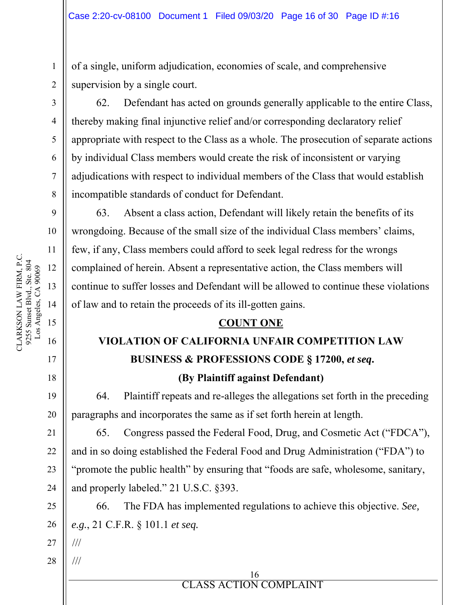of a single, uniform adjudication, economies of scale, and comprehensive supervision by a single court.

62. Defendant has acted on grounds generally applicable to the entire Class, thereby making final injunctive relief and/or corresponding declaratory relief appropriate with respect to the Class as a whole. The prosecution of separate actions by individual Class members would create the risk of inconsistent or varying adjudications with respect to individual members of the Class that would establish incompatible standards of conduct for Defendant.

63. Absent a class action, Defendant will likely retain the benefits of its wrongdoing. Because of the small size of the individual Class members' claims, few, if any, Class members could afford to seek legal redress for the wrongs complained of herein. Absent a representative action, the Class members will continue to suffer losses and Defendant will be allowed to continue these violations of law and to retain the proceeds of its ill-gotten gains.

### **COUNT ONE**

# **VIOLATION OF CALIFORNIA UNFAIR COMPETITION LAW BUSINESS & PROFESSIONS CODE § 17200,** *et seq***.**

**(By Plaintiff against Defendant)**

64. Plaintiff repeats and re-alleges the allegations set forth in the preceding paragraphs and incorporates the same as if set forth herein at length.

65. Congress passed the Federal Food, Drug, and Cosmetic Act ("FDCA"), and in so doing established the Federal Food and Drug Administration ("FDA") to "promote the public health" by ensuring that "foods are safe, wholesome, sanitary, and properly labeled." 21 U.S.C. §393.

66. The FDA has implemented regulations to achieve this objective. *See, e.g.*, 21 C.F.R. § 101.1 *et seq.*

27 ///

///

28

1

2

3

4

5

6

7

8

9

10

17

18

19

20

21

22

23

24

25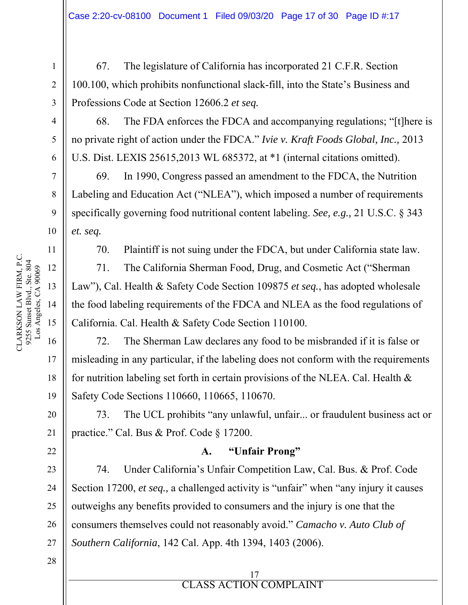67. The legislature of California has incorporated 21 C.F.R. Section 100.100, which prohibits nonfunctional slack-fill, into the State's Business and Professions Code at Section 12606.2 *et seq.*

68. The FDA enforces the FDCA and accompanying regulations; "[t]here is no private right of action under the FDCA." *Ivie v. Kraft Foods Global, Inc.,* 2013 U.S. Dist. LEXIS 25615,2013 WL 685372, at \*1 (internal citations omitted).

69. In 1990, Congress passed an amendment to the FDCA, the Nutrition Labeling and Education Act ("NLEA"), which imposed a number of requirements specifically governing food nutritional content labeling. *See, e.g.,* 21 U.S.C. § 343 *et. seq.*

70. Plaintiff is not suing under the FDCA, but under California state law.

71. The California Sherman Food, Drug, and Cosmetic Act ("Sherman Law"), Cal. Health & Safety Code Section 109875 *et seq.*, has adopted wholesale the food labeling requirements of the FDCA and NLEA as the food regulations of California. Cal. Health & Safety Code Section 110100.

72. The Sherman Law declares any food to be misbranded if it is false or misleading in any particular, if the labeling does not conform with the requirements for nutrition labeling set forth in certain provisions of the NLEA. Cal. Health  $\&$ Safety Code Sections 110660, 110665, 110670.

73. The UCL prohibits "any unlawful, unfair... or fraudulent business act or practice." Cal. Bus & Prof. Code § 17200.

### **A. "Unfair Prong"**

74. Under California's Unfair Competition Law, Cal. Bus. & Prof. Code Section 17200, *et seq.,* a challenged activity is "unfair" when "any injury it causes outweighs any benefits provided to consumers and the injury is one that the consumers themselves could not reasonably avoid." *Camacho v. Auto Club of Southern California*, 142 Cal. App. 4th 1394, 1403 (2006).

> 17 CLASS ACTION COMPLAINT

ERROR **ELASS** ACTION

28

CLARKSON LAW FIRM, P.C. CLARKSON LAW FIRM, P.C. 9255 Sunset Blvd., Ste. 804 9255 Sunset Blvd., Ste. 804 Los Angeles, CA 90069 Los Angeles, CA 90069 12 13 14 15 16

1

2

3

4

5

6

7

8

9

10

11

17

18

19

20

21

22

23

24

25

26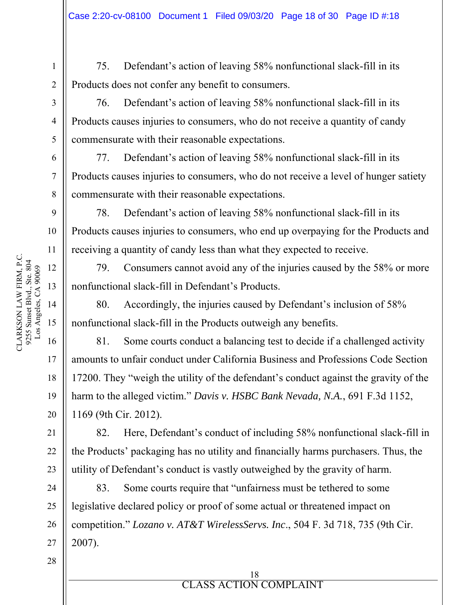75. Defendant's action of leaving 58% nonfunctional slack-fill in its Products does not confer any benefit to consumers.

76. Defendant's action of leaving 58% nonfunctional slack-fill in its Products causes injuries to consumers, who do not receive a quantity of candy commensurate with their reasonable expectations.

77. Defendant's action of leaving 58% nonfunctional slack-fill in its Products causes injuries to consumers, who do not receive a level of hunger satiety commensurate with their reasonable expectations.

78. Defendant's action of leaving 58% nonfunctional slack-fill in its Products causes injuries to consumers, who end up overpaying for the Products and receiving a quantity of candy less than what they expected to receive.

79. Consumers cannot avoid any of the injuries caused by the 58% or more nonfunctional slack-fill in Defendant's Products.

80. Accordingly, the injuries caused by Defendant's inclusion of 58% nonfunctional slack-fill in the Products outweigh any benefits.

81. Some courts conduct a balancing test to decide if a challenged activity amounts to unfair conduct under California Business and Professions Code Section 17200. They "weigh the utility of the defendant's conduct against the gravity of the harm to the alleged victim." *Davis v. HSBC Bank Nevada, N.A.*, 691 F.3d 1152, 1169 (9th Cir. 2012).

82. Here, Defendant's conduct of including 58% nonfunctional slack-fill in the Products' packaging has no utility and financially harms purchasers. Thus, the utility of Defendant's conduct is vastly outweighed by the gravity of harm.

83. Some courts require that "unfairness must be tethered to some legislative declared policy or proof of some actual or threatened impact on competition." *Lozano v. AT&T WirelessServs. Inc*., 504 F. 3d 718, 735 (9th Cir. 2007).

1

2

3

4

5

6

7

8

9

10

11

17

18

19

20

21

22

23

24

25

26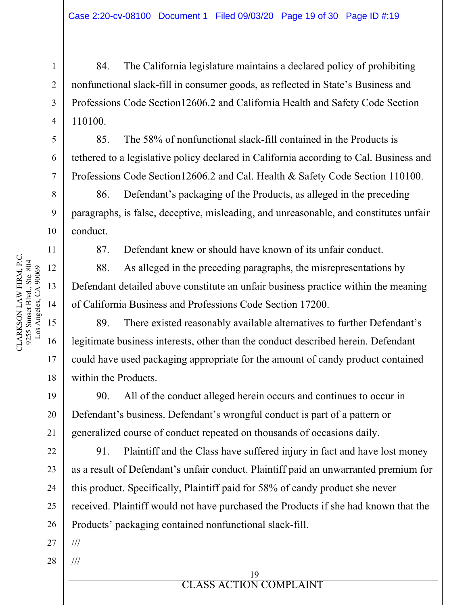84. The California legislature maintains a declared policy of prohibiting nonfunctional slack-fill in consumer goods, as reflected in State's Business and Professions Code Section12606.2 and California Health and Safety Code Section 110100.

85. The 58% of nonfunctional slack-fill contained in the Products is tethered to a legislative policy declared in California according to Cal. Business and Professions Code Section12606.2 and Cal. Health & Safety Code Section 110100.

86. Defendant's packaging of the Products, as alleged in the preceding paragraphs, is false, deceptive, misleading, and unreasonable, and constitutes unfair conduct.

87. Defendant knew or should have known of its unfair conduct.

88. As alleged in the preceding paragraphs, the misrepresentations by Defendant detailed above constitute an unfair business practice within the meaning of California Business and Professions Code Section 17200.

89. There existed reasonably available alternatives to further Defendant's legitimate business interests, other than the conduct described herein. Defendant could have used packaging appropriate for the amount of candy product contained within the Products.

90. All of the conduct alleged herein occurs and continues to occur in Defendant's business. Defendant's wrongful conduct is part of a pattern or generalized course of conduct repeated on thousands of occasions daily.

91. Plaintiff and the Class have suffered injury in fact and have lost money as a result of Defendant's unfair conduct. Plaintiff paid an unwarranted premium for this product. Specifically, Plaintiff paid for 58% of candy product she never received. Plaintiff would not have purchased the Products if she had known that the Products' packaging contained nonfunctional slack-fill.

27

28

1

2

3

4

5

6

7

8

9

10

11

12

17

18

19

20

21

22

23

24

25

26

ERROR **ELASS** ACTION 19 CLASS ACTION COMPLAINT /// ///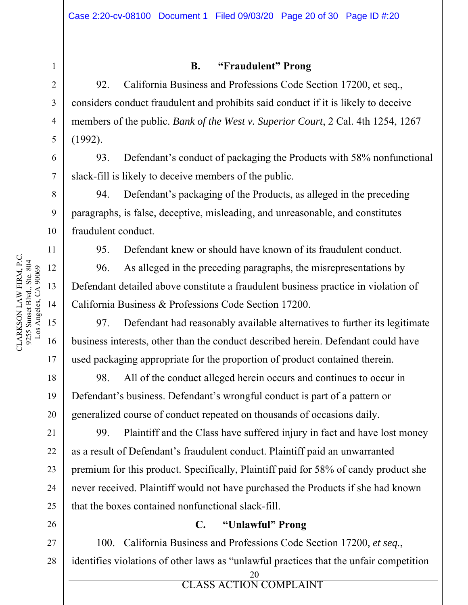1

2

3

4

5

6

7

8

9

10

11

17

18

19

20

21

22

23

24

25

26

### **B. "Fraudulent" Prong**

92. California Business and Professions Code Section 17200, et seq., considers conduct fraudulent and prohibits said conduct if it is likely to deceive members of the public. *Bank of the West v. Superior Court*, 2 Cal. 4th 1254, 1267 (1992).

93. Defendant's conduct of packaging the Products with 58% nonfunctional slack-fill is likely to deceive members of the public.

94. Defendant's packaging of the Products, as alleged in the preceding paragraphs, is false, deceptive, misleading, and unreasonable, and constitutes fraudulent conduct.

95. Defendant knew or should have known of its fraudulent conduct.

96. As alleged in the preceding paragraphs, the misrepresentations by Defendant detailed above constitute a fraudulent business practice in violation of California Business & Professions Code Section 17200.

97. Defendant had reasonably available alternatives to further its legitimate business interests, other than the conduct described herein. Defendant could have used packaging appropriate for the proportion of product contained therein.

98. All of the conduct alleged herein occurs and continues to occur in Defendant's business. Defendant's wrongful conduct is part of a pattern or generalized course of conduct repeated on thousands of occasions daily.

99. Plaintiff and the Class have suffered injury in fact and have lost money as a result of Defendant's fraudulent conduct. Plaintiff paid an unwarranted premium for this product. Specifically, Plaintiff paid for 58% of candy product she never received. Plaintiff would not have purchased the Products if she had known that the boxes contained nonfunctional slack-fill.

### **C. "Unlawful" Prong**

27 28 100. California Business and Professions Code Section 17200, *et seq.*, identifies violations of other laws as "unlawful practices that the unfair competition

CLARKSON LAW FIRM, P.C. CLARKSON LAW FIRM, P.C. 9255 Sunset Blvd., Ste. 804 9255 Sunset Blvd., Ste. 804 Los Angeles, CA 90069 Los Angeles, CA 90069 12 13 14 15 16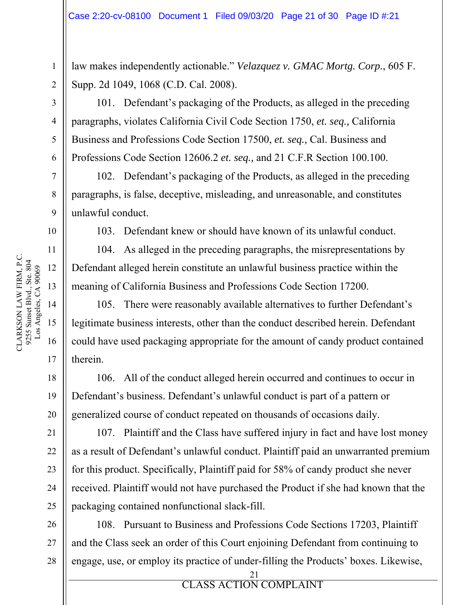law makes independently actionable." *Velazquez v. GMAC Mortg. Corp.*, 605 F. Supp. 2d 1049, 1068 (C.D. Cal. 2008).

101. Defendant's packaging of the Products, as alleged in the preceding paragraphs, violates California Civil Code Section 1750, *et. seq.,* California Business and Professions Code Section 17500, *et. seq.,* Cal. Business and Professions Code Section 12606.2 *et. seq.,* and 21 C.F.R Section 100.100.

102. Defendant's packaging of the Products, as alleged in the preceding paragraphs, is false, deceptive, misleading, and unreasonable, and constitutes unlawful conduct.

103. Defendant knew or should have known of its unlawful conduct.

104. As alleged in the preceding paragraphs, the misrepresentations by Defendant alleged herein constitute an unlawful business practice within the meaning of California Business and Professions Code Section 17200.

105. There were reasonably available alternatives to further Defendant's legitimate business interests, other than the conduct described herein. Defendant could have used packaging appropriate for the amount of candy product contained therein.

106. All of the conduct alleged herein occurred and continues to occur in Defendant's business. Defendant's unlawful conduct is part of a pattern or generalized course of conduct repeated on thousands of occasions daily.

107. Plaintiff and the Class have suffered injury in fact and have lost money as a result of Defendant's unlawful conduct. Plaintiff paid an unwarranted premium for this product. Specifically, Plaintiff paid for 58% of candy product she never received. Plaintiff would not have purchased the Product if she had known that the packaging contained nonfunctional slack-fill.

108. Pursuant to Business and Professions Code Sections 17203, Plaintiff and the Class seek an order of this Court enjoining Defendant from continuing to engage, use, or employ its practice of under-filling the Products' boxes. Likewise,

> 21 CLASS ACTION COMPLAINT

ERROR **ELASS** ACTION

1

2

3

4

5

6

7

8

9

10

11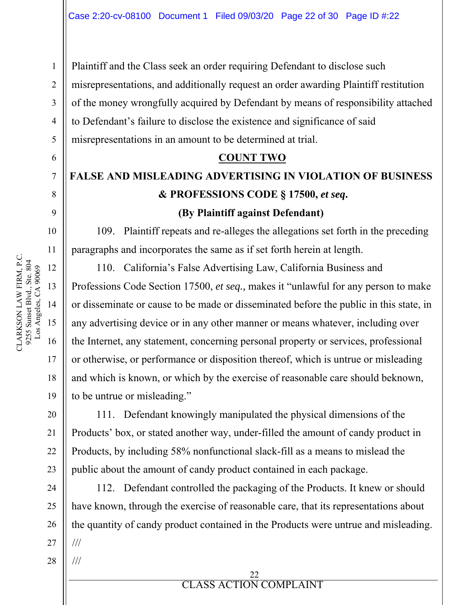Plaintiff and the Class seek an order requiring Defendant to disclose such misrepresentations, and additionally request an order awarding Plaintiff restitution of the money wrongfully acquired by Defendant by means of responsibility attached to Defendant's failure to disclose the existence and significance of said misrepresentations in an amount to be determined at trial.

### **COUNT TWO**

# **FALSE AND MISLEADING ADVERTISING IN VIOLATION OF BUSINESS & PROFESSIONS CODE § 17500,** *et seq***. (By Plaintiff against Defendant)**

109. Plaintiff repeats and re-alleges the allegations set forth in the preceding paragraphs and incorporates the same as if set forth herein at length.

110. California's False Advertising Law, California Business and Professions Code Section 17500, *et seq.,* makes it "unlawful for any person to make or disseminate or cause to be made or disseminated before the public in this state, in any advertising device or in any other manner or means whatever, including over the Internet, any statement, concerning personal property or services, professional or otherwise, or performance or disposition thereof, which is untrue or misleading and which is known, or which by the exercise of reasonable care should beknown, to be untrue or misleading."

111. Defendant knowingly manipulated the physical dimensions of the Products' box, or stated another way, under-filled the amount of candy product in Products, by including 58% nonfunctional slack-fill as a means to mislead the public about the amount of candy product contained in each package.

112. Defendant controlled the packaging of the Products. It knew or should have known, through the exercise of reasonable care, that its representations about the quantity of candy product contained in the Products were untrue and misleading. ///

1

2

3

4

5

6

7

8

9

10

17

18

19

20

21

22

23

24

25

26

27

28

///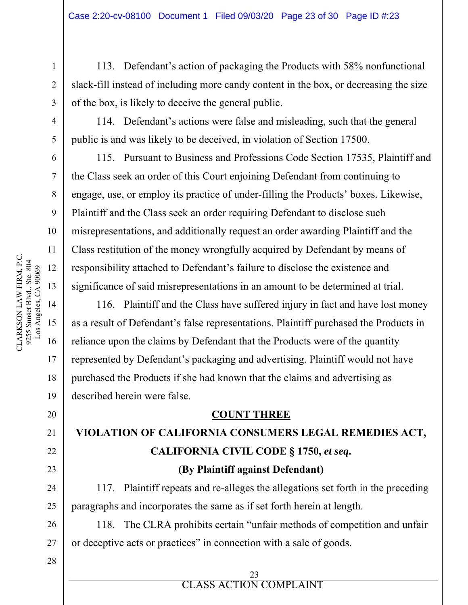113. Defendant's action of packaging the Products with 58% nonfunctional slack-fill instead of including more candy content in the box, or decreasing the size of the box, is likely to deceive the general public.

114. Defendant's actions were false and misleading, such that the general public is and was likely to be deceived, in violation of Section 17500.

115. Pursuant to Business and Professions Code Section 17535, Plaintiff and the Class seek an order of this Court enjoining Defendant from continuing to engage, use, or employ its practice of under-filling the Products' boxes. Likewise, Plaintiff and the Class seek an order requiring Defendant to disclose such misrepresentations, and additionally request an order awarding Plaintiff and the Class restitution of the money wrongfully acquired by Defendant by means of responsibility attached to Defendant's failure to disclose the existence and significance of said misrepresentations in an amount to be determined at trial.

116. Plaintiff and the Class have suffered injury in fact and have lost money as a result of Defendant's false representations. Plaintiff purchased the Products in reliance upon the claims by Defendant that the Products were of the quantity represented by Defendant's packaging and advertising. Plaintiff would not have purchased the Products if she had known that the claims and advertising as described herein were false.

### **COUNT THREE**

## **VIOLATION OF CALIFORNIA CONSUMERS LEGAL REMEDIES ACT, CALIFORNIA CIVIL CODE § 1750,** *et seq***. (By Plaintiff against Defendant)**

117. Plaintiff repeats and re-alleges the allegations set forth in the preceding paragraphs and incorporates the same as if set forth herein at length.

118. The CLRA prohibits certain "unfair methods of competition and unfair or deceptive acts or practices" in connection with a sale of goods.

> 23 CLASS ACTION COMPLAINT

ERROR **ELASS** ACTION

1

2

3

4

5

6

7

8

9

16

17

18

19

20

21

22

23

24

25

26

27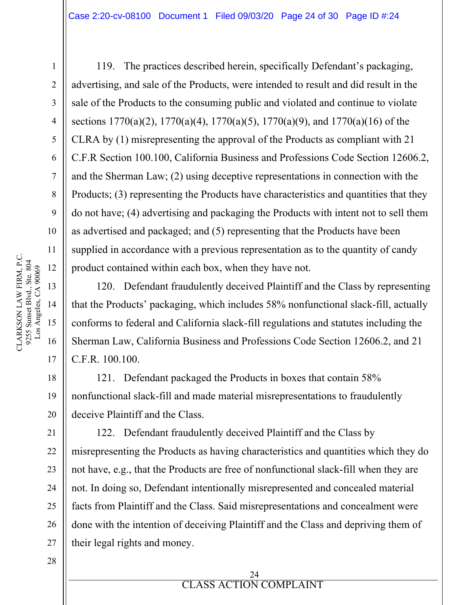119. The practices described herein, specifically Defendant's packaging, advertising, and sale of the Products, were intended to result and did result in the sale of the Products to the consuming public and violated and continue to violate sections  $1770(a)(2)$ ,  $1770(a)(4)$ ,  $1770(a)(5)$ ,  $1770(a)(9)$ , and  $1770(a)(16)$  of the CLRA by (1) misrepresenting the approval of the Products as compliant with 21 C.F.R Section 100.100, California Business and Professions Code Section 12606.2, and the Sherman Law; (2) using deceptive representations in connection with the Products; (3) representing the Products have characteristics and quantities that they do not have; (4) advertising and packaging the Products with intent not to sell them as advertised and packaged; and (5) representing that the Products have been supplied in accordance with a previous representation as to the quantity of candy product contained within each box, when they have not.

120. Defendant fraudulently deceived Plaintiff and the Class by representing that the Products' packaging, which includes 58% nonfunctional slack-fill, actually conforms to federal and California slack-fill regulations and statutes including the Sherman Law, California Business and Professions Code Section 12606.2, and 21 C.F.R. 100.100.

121. Defendant packaged the Products in boxes that contain 58% nonfunctional slack-fill and made material misrepresentations to fraudulently deceive Plaintiff and the Class.

122. Defendant fraudulently deceived Plaintiff and the Class by misrepresenting the Products as having characteristics and quantities which they do not have, e.g., that the Products are free of nonfunctional slack-fill when they are not. In doing so, Defendant intentionally misrepresented and concealed material facts from Plaintiff and the Class. Said misrepresentations and concealment were done with the intention of deceiving Plaintiff and the Class and depriving them of their legal rights and money.

28

1

2

3

4

5

6

7

8

9

10

11

17

18

19

20

21

22

23

24

25

26

27

ERROR **ELASS** ACTION 24 CLASS ACTION COMPLAINT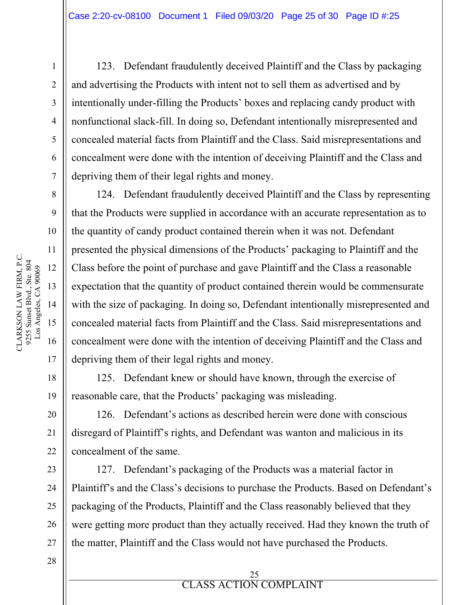123. Defendant fraudulently deceived Plaintiff and the Class by packaging and advertising the Products with intent not to sell them as advertised and by intentionally under-filling the Products' boxes and replacing candy product with nonfunctional slack-fill. In doing so, Defendant intentionally misrepresented and concealed material facts from Plaintiff and the Class. Said misrepresentations and concealment were done with the intention of deceiving Plaintiff and the Class and depriving them of their legal rights and money.

124. Defendant fraudulently deceived Plaintiff and the Class by representing that the Products were supplied in accordance with an accurate representation as to the quantity of candy product contained therein when it was not. Defendant presented the physical dimensions of the Products' packaging to Plaintiff and the Class before the point of purchase and gave Plaintiff and the Class a reasonable expectation that the quantity of product contained therein would be commensurate with the size of packaging. In doing so, Defendant intentionally misrepresented and concealed material facts from Plaintiff and the Class. Said misrepresentations and concealment were done with the intention of deceiving Plaintiff and the Class and depriving them of their legal rights and money.

125. Defendant knew or should have known, through the exercise of reasonable care, that the Products' packaging was misleading.

126. Defendant's actions as described herein were done with conscious disregard of Plaintiff's rights, and Defendant was wanton and malicious in its concealment of the same.

127. Defendant's packaging of the Products was a material factor in Plaintiff's and the Class's decisions to purchase the Products. Based on Defendant's packaging of the Products, Plaintiff and the Class reasonably believed that they were getting more product than they actually received. Had they known the truth of the matter, Plaintiff and the Class would not have purchased the Products.

CLARKSON LAW FIRM, P.C. CLARKSON LAW FIRM, P.C. 9255 Sunset Blvd., Ste. 804 9255 Sunset Blvd., Ste. 804<br>Los Angeles, CA 90069 12 Los Angeles, CA 90069 13 14 15 16

1

2

3

4

5

6

7

8

9

10

11

17

18

19

20

21

22

23

24

25

26

27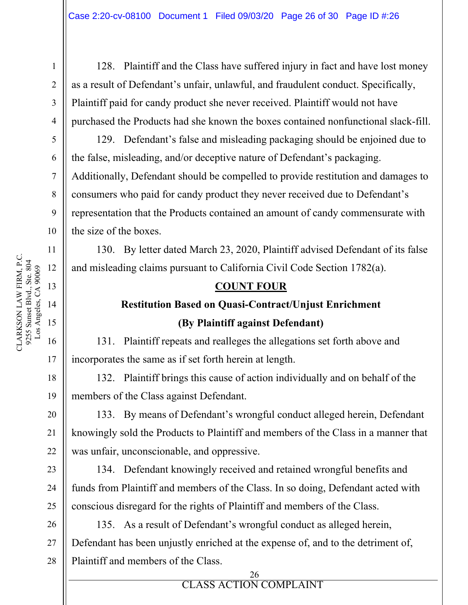128. Plaintiff and the Class have suffered injury in fact and have lost money as a result of Defendant's unfair, unlawful, and fraudulent conduct. Specifically, Plaintiff paid for candy product she never received. Plaintiff would not have purchased the Products had she known the boxes contained nonfunctional slack-fill.

129. Defendant's false and misleading packaging should be enjoined due to the false, misleading, and/or deceptive nature of Defendant's packaging. Additionally, Defendant should be compelled to provide restitution and damages to consumers who paid for candy product they never received due to Defendant's representation that the Products contained an amount of candy commensurate with the size of the boxes.

130. By letter dated March 23, 2020, Plaintiff advised Defendant of its false and misleading claims pursuant to California Civil Code Section 1782(a).

### **COUNT FOUR**

## **Restitution Based on Quasi-Contract/Unjust Enrichment (By Plaintiff against Defendant)**

131. Plaintiff repeats and realleges the allegations set forth above and incorporates the same as if set forth herein at length.

132. Plaintiff brings this cause of action individually and on behalf of the members of the Class against Defendant.

133. By means of Defendant's wrongful conduct alleged herein, Defendant knowingly sold the Products to Plaintiff and members of the Class in a manner that was unfair, unconscionable, and oppressive.

134. Defendant knowingly received and retained wrongful benefits and funds from Plaintiff and members of the Class. In so doing, Defendant acted with conscious disregard for the rights of Plaintiff and members of the Class.

26 27 135. As a result of Defendant's wrongful conduct as alleged herein, Defendant has been unjustly enriched at the expense of, and to the detriment of, Plaintiff and members of the Class.

CLARKSON LAW FIRM, P.C.

CLARKSON LAW FIRM, P.C.

1

2

3

24

25

#### ERROR **ELASS** ACTION 26 CLASS ACTION COMPLAINT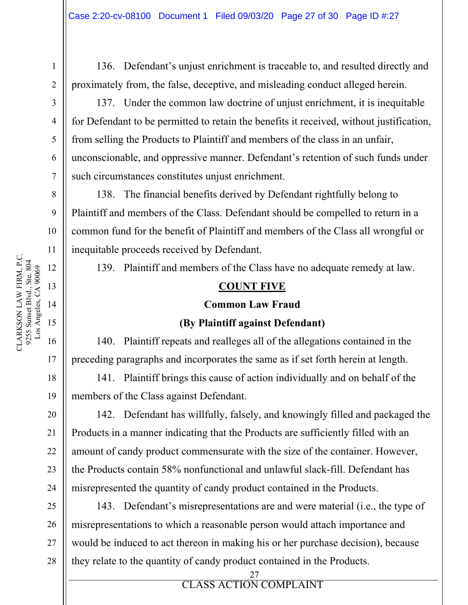136. Defendant's unjust enrichment is traceable to, and resulted directly and proximately from, the false, deceptive, and misleading conduct alleged herein.

137. Under the common law doctrine of unjust enrichment, it is inequitable for Defendant to be permitted to retain the benefits it received, without justification, from selling the Products to Plaintiff and members of the class in an unfair, unconscionable, and oppressive manner. Defendant's retention of such funds under such circumstances constitutes unjust enrichment.

138. The financial benefits derived by Defendant rightfully belong to Plaintiff and members of the Class. Defendant should be compelled to return in a common fund for the benefit of Plaintiff and members of the Class all wrongful or inequitable proceeds received by Defendant.

139. Plaintiff and members of the Class have no adequate remedy at law.

### **COUNT FIVE**

#### **Common Law Fraud**

### **(By Plaintiff against Defendant)**

140. Plaintiff repeats and realleges all of the allegations contained in the preceding paragraphs and incorporates the same as if set forth herein at length.

141. Plaintiff brings this cause of action individually and on behalf of the members of the Class against Defendant.

142. Defendant has willfully, falsely, and knowingly filled and packaged the Products in a manner indicating that the Products are sufficiently filled with an amount of candy product commensurate with the size of the container. However, the Products contain 58% nonfunctional and unlawful slack-fill. Defendant has misrepresented the quantity of candy product contained in the Products.

25 26 27 28 143. Defendant's misrepresentations are and were material (i.e., the type of misrepresentations to which a reasonable person would attach importance and would be induced to act thereon in making his or her purchase decision), because they relate to the quantity of candy product contained in the Products.

> 27 CLASS ACTION COMPLAINT

ERROR **ELASS** ACTION

CLARKSON LAW FIRM, P.C.

CLARKSON LAW FIRM, P.C.

20

21

22

23

24

1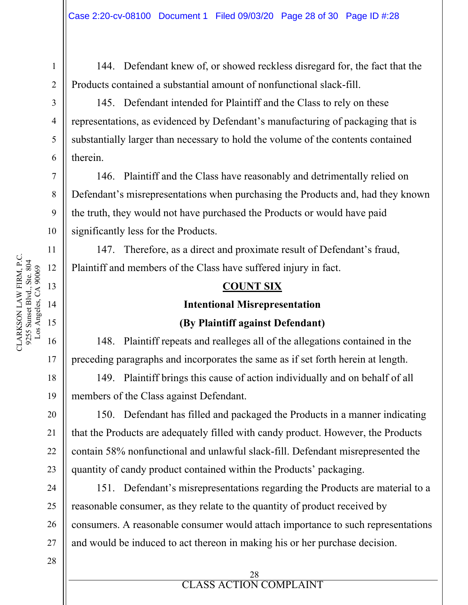144. Defendant knew of, or showed reckless disregard for, the fact that the Products contained a substantial amount of nonfunctional slack-fill.

145. Defendant intended for Plaintiff and the Class to rely on these representations, as evidenced by Defendant's manufacturing of packaging that is substantially larger than necessary to hold the volume of the contents contained therein.

146. Plaintiff and the Class have reasonably and detrimentally relied on Defendant's misrepresentations when purchasing the Products and, had they known the truth, they would not have purchased the Products or would have paid significantly less for the Products.

147. Therefore, as a direct and proximate result of Defendant's fraud, Plaintiff and members of the Class have suffered injury in fact.

### **COUNT SIX**

### **Intentional Misrepresentation**

### **(By Plaintiff against Defendant)**

148. Plaintiff repeats and realleges all of the allegations contained in the preceding paragraphs and incorporates the same as if set forth herein at length.

149. Plaintiff brings this cause of action individually and on behalf of all members of the Class against Defendant.

150. Defendant has filled and packaged the Products in a manner indicating that the Products are adequately filled with candy product. However, the Products contain 58% nonfunctional and unlawful slack-fill. Defendant misrepresented the quantity of candy product contained within the Products' packaging.

151. Defendant's misrepresentations regarding the Products are material to a reasonable consumer, as they relate to the quantity of product received by consumers. A reasonable consumer would attach importance to such representations and would be induced to act thereon in making his or her purchase decision.

> 28 CLASS ACTION COMPLAINT

ERROR **ELASS** ACTION

16

17

18

19

20

21

22

23

24

25

26

27

28

1

2

3

4

5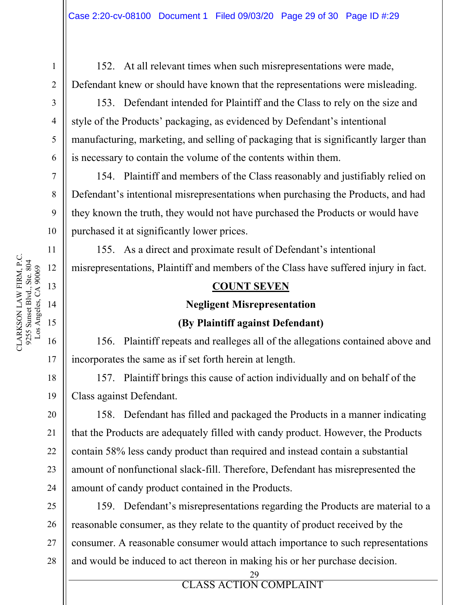152. At all relevant times when such misrepresentations were made, Defendant knew or should have known that the representations were misleading.

153. Defendant intended for Plaintiff and the Class to rely on the size and style of the Products' packaging, as evidenced by Defendant's intentional manufacturing, marketing, and selling of packaging that is significantly larger than is necessary to contain the volume of the contents within them.

154. Plaintiff and members of the Class reasonably and justifiably relied on Defendant's intentional misrepresentations when purchasing the Products, and had they known the truth, they would not have purchased the Products or would have purchased it at significantly lower prices.

155. As a direct and proximate result of Defendant's intentional misrepresentations, Plaintiff and members of the Class have suffered injury in fact.

### **COUNT SEVEN**

### **Negligent Misrepresentation**

### **(By Plaintiff against Defendant)**

156. Plaintiff repeats and realleges all of the allegations contained above and incorporates the same as if set forth herein at length.

157. Plaintiff brings this cause of action individually and on behalf of the Class against Defendant.

158. Defendant has filled and packaged the Products in a manner indicating that the Products are adequately filled with candy product. However, the Products contain 58% less candy product than required and instead contain a substantial amount of nonfunctional slack-fill. Therefore, Defendant has misrepresented the amount of candy product contained in the Products.

25 26 27 28 159. Defendant's misrepresentations regarding the Products are material to a reasonable consumer, as they relate to the quantity of product received by the consumer. A reasonable consumer would attach importance to such representations and would be induced to act thereon in making his or her purchase decision.

> 29 CLASS ACTION COMPLAINT

ERROR **ELASS** ACTION

CLARKSON LAW FIRM, P.C.

CLARKSON LAW FIRM, P.C.

21

22

23

24

1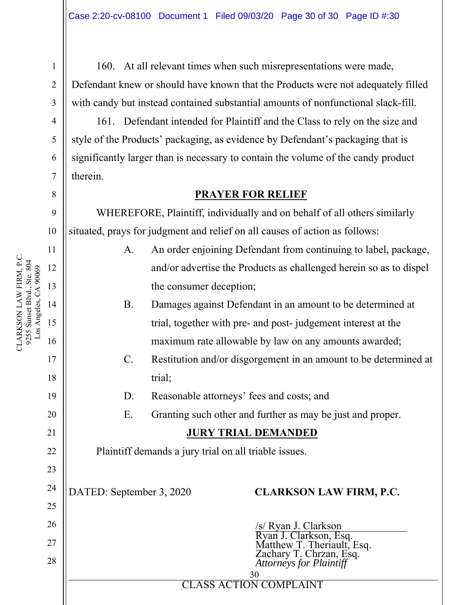160. At all relevant times when such misrepresentations were made, Defendant knew or should have known that the Products were not adequately filled with candy but instead contained substantial amounts of nonfunctional slack-fill.

161. Defendant intended for Plaintiff and the Class to rely on the size and style of the Products' packaging, as evidence by Defendant's packaging that is significantly larger than is necessary to contain the volume of the candy product therein.

### **PRAYER FOR RELIEF**

WHEREFORE, Plaintiff, individually and on behalf of all others similarly situated, prays for judgment and relief on all causes of action as follows:

- A. An order enjoining Defendant from continuing to label, package, and/or advertise the Products as challenged herein so as to dispel the consumer deception;
- B. Damages against Defendant in an amount to be determined at trial, together with pre- and post- judgement interest at the maximum rate allowable by law on any amounts awarded;
- C. Restitution and/or disgorgement in an amount to be determined at trial;
- D. Reasonable attorneys' fees and costs; and
- E. Granting such other and further as may be just and proper.

### **JURY TRIAL DEMANDED**

Plaintiff demands a jury trial on all triable issues.

DATED: September 3, 2020 **CLARKSON LAW FIRM, P.C.** 

| 25 |                                                      |
|----|------------------------------------------------------|
| 26 | /s/ Ryan J. Clarkson                                 |
| 27 | Ryan J. Clarkson, Esq.<br>Matthew T. Theriault, Esq. |
| 28 | Zachary T. Chrzan, Esq.<br>Attorneys for Plaintiff   |
|    | 30                                                   |
|    | <b>CLASS ACTION COMPLAINT</b>                        |

10 11 CLARKSON LAW FIRM, P.C. CLARKSON LAW FIRM, P.C. 9255 Sunset Blvd., Ste. 804 9255 Sunset Blvd., Ste. 804 Los Angeles, CA 90069 Los Angeles, CA 90069 12 15

1

2

3

4

5

6

7

8

9

13

14

16

17

18

19

20

21

22

23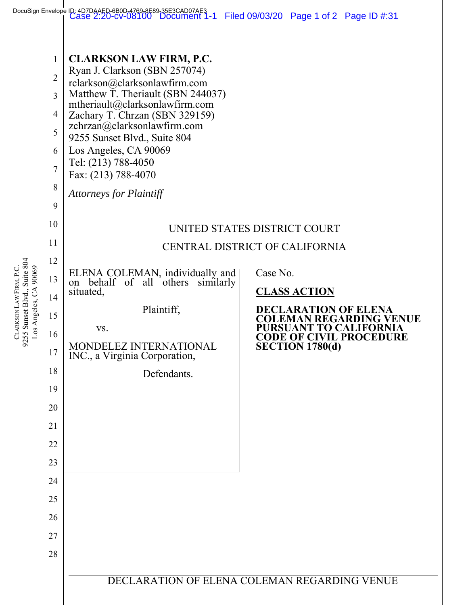